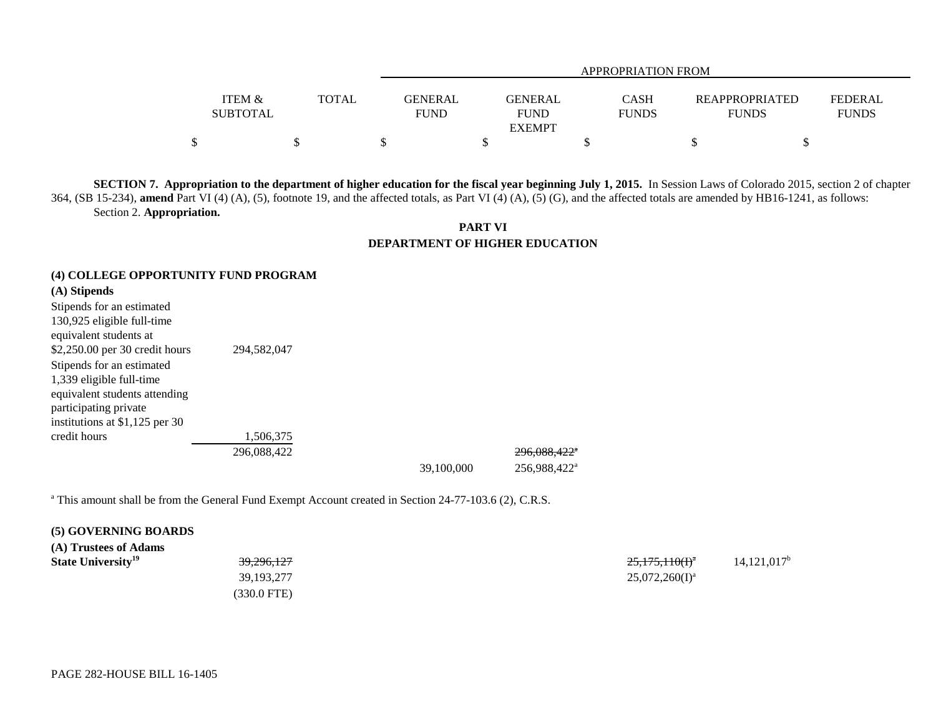|                                      |       |                               | APPROPRIATION FROM            |                      |                                       |                                |  |  |
|--------------------------------------|-------|-------------------------------|-------------------------------|----------------------|---------------------------------------|--------------------------------|--|--|
| <b>ITEM &amp;</b><br><b>SUBTOTAL</b> | TOTAL | <b>GENERAL</b><br><b>FUND</b> | <b>GENERAL</b><br><b>FUND</b> | CASH<br><b>FUNDS</b> | <b>REAPPROPRIATED</b><br><b>FUNDS</b> | <b>FEDERAL</b><br><b>FUNDS</b> |  |  |
|                                      |       |                               | <b>EXEMPT</b>                 |                      |                                       |                                |  |  |
|                                      |       |                               |                               |                      |                                       |                                |  |  |

**SECTION 7. Appropriation to the department of higher education for the fiscal year beginning July 1, 2015.** In Session Laws of Colorado 2015, section 2 of chapter 364, (SB 15-234), **amend** Part VI (4) (A), (5), footnote 19, and the affected totals, as Part VI (4) (A), (5) (G), and the affected totals are amended by HB16-1241, as follows: Section 2. **Appropriation.**

**PART VI DEPARTMENT OF HIGHER EDUCATION**

### **(4) COLLEGE OPPORTUNITY FUND PROGRAM**

# **(A) Stipends**

| Stipends for an estimated      |             |
|--------------------------------|-------------|
| 130,925 eligible full-time     |             |
| equivalent students at         |             |
| \$2,250.00 per 30 credit hours | 294,582,047 |
| Stipends for an estimated      |             |
| 1,339 eligible full-time       |             |
| equivalent students attending  |             |
| participating private          |             |
| institutions at \$1,125 per 30 |             |
| credit hours                   | 1,506,375   |
|                                | 296.088.422 |

39,100,000 256,988,422a

296,088,422<sup>\*</sup>

<sup>a</sup> This amount shall be from the General Fund Exempt Account created in Section 24-77-103.6 (2), C.R.S.

### **(5) GOVERNING BOARDS**

| (A) Trustees of Adams |  |  |
|-----------------------|--|--|
|-----------------------|--|--|

(330.0 FTE)

**State University**<sup>19</sup> 25,175,110(I)<sup>a</sup> 14,121,017<sup>b</sup>  $39,193,277$   $25,072,260(1)^a$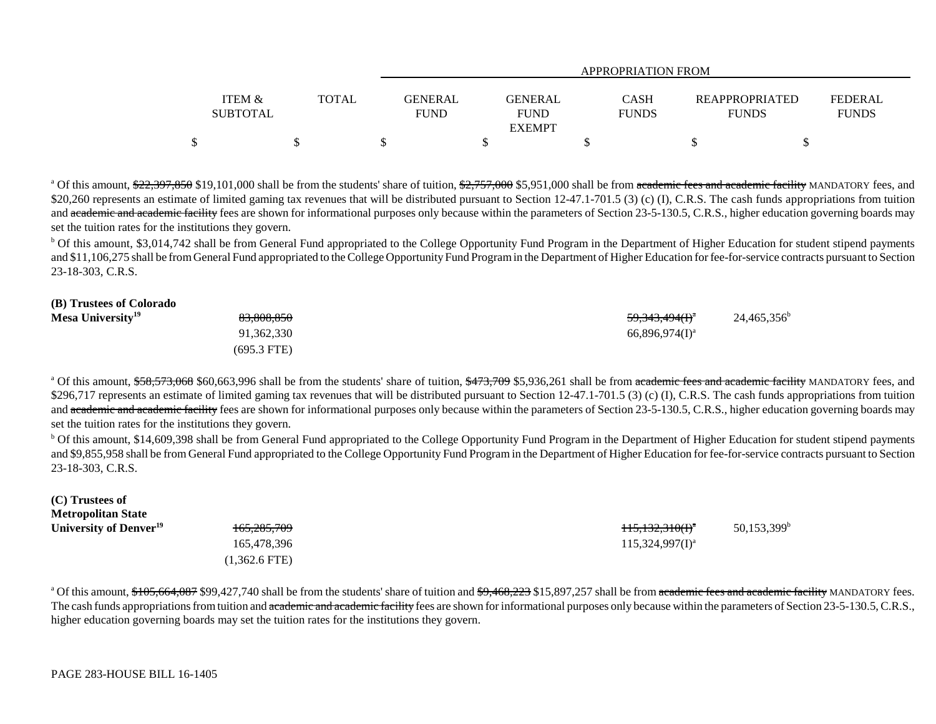|                 |              |                | APPROPRIATION FROM |              |                |              |  |  |
|-----------------|--------------|----------------|--------------------|--------------|----------------|--------------|--|--|
|                 |              |                |                    |              |                |              |  |  |
| ITEM &          | <b>TOTAL</b> | <b>GENERAL</b> | <b>GENERAL</b>     | CASH         | REAPPROPRIATED | FEDERAL      |  |  |
| <b>SUBTOTAL</b> |              | <b>FUND</b>    | <b>FUND</b>        | <b>FUNDS</b> | <b>FUNDS</b>   | <b>FUNDS</b> |  |  |
|                 |              |                | <b>EXEMPT</b>      |              |                |              |  |  |
|                 |              |                |                    |              |                |              |  |  |

<sup>a</sup> Of this amount, \$22,397,850 \$19,101,000 shall be from the students' share of tuition, \$2,757,000 \$5,951,000 shall be from academic fees and academic facility MANDATORY fees, and \$20,260 represents an estimate of limited gaming tax revenues that will be distributed pursuant to Section 12-47.1-701.5 (3) (c) (I), C.R.S. The cash funds appropriations from tuition and academic and academic facility fees are shown for informational purposes only because within the parameters of Section 23-5-130.5, C.R.S., higher education governing boards may set the tuition rates for the institutions they govern.

<sup>b</sup> Of this amount, \$3,014,742 shall be from General Fund appropriated to the College Opportunity Fund Program in the Department of Higher Education for student stipend payments and \$11,106,275 shall be from General Fund appropriated to the College Opportunity Fund Program in the Department of Higher Education for fee-for-service contracts pursuant to Section 23-18-303, C.R.S.

| <del>83,808,850</del> | $24,465,356^b$                                               |
|-----------------------|--------------------------------------------------------------|
| 91,362,330            |                                                              |
| $(695.3$ FTE)         |                                                              |
|                       | <del>59,343,494(I)</del> <sup>a</sup><br>$66,896,974(1)^{a}$ |

<sup>a</sup> Of this amount, \$58,573,068 \$60,663,996 shall be from the students' share of tuition, \$473,709 \$5,936,261 shall be from academic fees and academic facility MANDATORY fees, and \$296,717 represents an estimate of limited gaming tax revenues that will be distributed pursuant to Section 12-47.1-701.5 (3) (c) (I), C.R.S. The cash funds appropriations from tuition and academic and academic facility fees are shown for informational purposes only because within the parameters of Section 23-5-130.5, C.R.S., higher education governing boards may set the tuition rates for the institutions they govern.

<sup>b</sup> Of this amount, \$14,609,398 shall be from General Fund appropriated to the College Opportunity Fund Program in the Department of Higher Education for student stipend payments and \$9,855,958 shall be from General Fund appropriated to the College Opportunity Fund Program in the Department of Higher Education for fee-for-service contracts pursuant to Section 23-18-303, C.R.S.

| (C) Trustees of                    |                        |                      |                           |
|------------------------------------|------------------------|----------------------|---------------------------|
| <b>Metropolitan State</b>          |                        |                      |                           |
| University of Denver <sup>19</sup> | <del>165,285,709</del> | $115,132,310(f)^4$   | $50,153,399$ <sup>b</sup> |
|                                    | 165,478,396            | $115,324,997(1)^{a}$ |                           |
|                                    | $(1,362.6$ FTE)        |                      |                           |

<sup>a</sup> Of this amount, \$105,664,087 \$99,427,740 shall be from the students' share of tuition and \$9,468,223 \$15,897,257 shall be from academic fees and academic facility MANDATORY fees. The cash funds appropriations from tuition and academic and academic facility fees are shown for informational purposes only because within the parameters of Section 23-5-130.5, C.R.S., higher education governing boards may set the tuition rates for the institutions they govern.

**(B) Trustees of Colorado**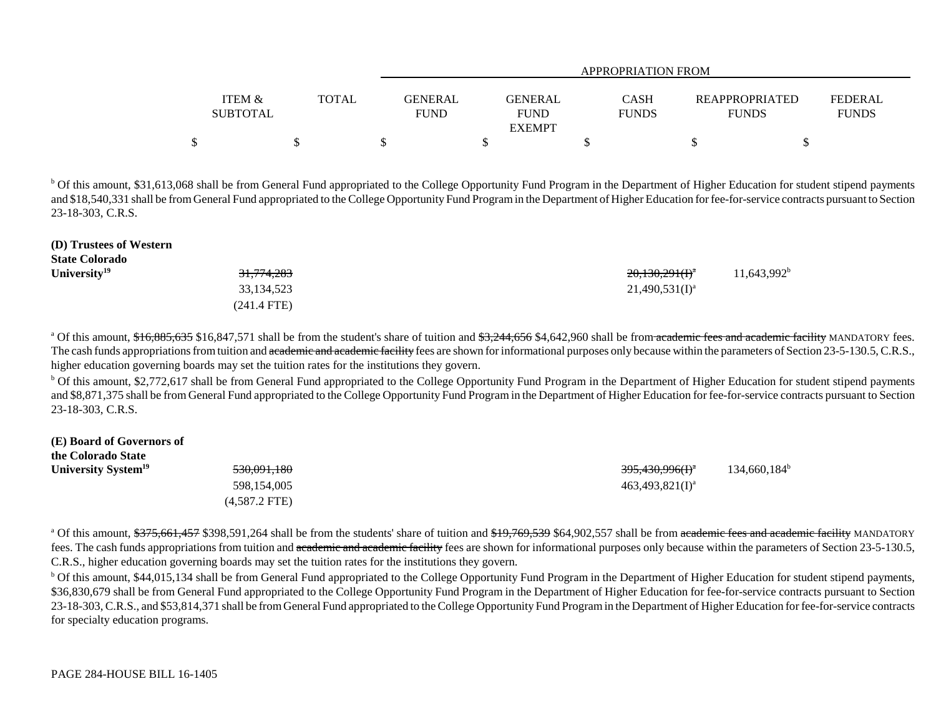|                   |              |             | APPROPRIATION FROM |              |  |                       |                |  |
|-------------------|--------------|-------------|--------------------|--------------|--|-----------------------|----------------|--|
|                   |              |             |                    |              |  |                       |                |  |
| <b>ITEM &amp;</b> | <b>TOTAL</b> | GENERAL     | <b>GENERAL</b>     | <b>CASH</b>  |  | <b>REAPPROPRIATED</b> | <b>FEDERAL</b> |  |
| <b>SUBTOTAL</b>   |              | <b>FUND</b> | <b>FUND</b>        | <b>FUNDS</b> |  | <b>FUNDS</b>          | <b>FUNDS</b>   |  |
|                   |              |             | <b>EXEMPT</b>      |              |  |                       |                |  |
|                   |              |             |                    |              |  |                       |                |  |

<sup>b</sup> Of this amount, \$31,613,068 shall be from General Fund appropriated to the College Opportunity Fund Program in the Department of Higher Education for student stipend payments and \$18,540,331 shall be from General Fund appropriated to the College Opportunity Fund Program in the Department of Higher Education for fee-for-service contracts pursuant to Section 23-18-303, C.R.S.

| (D) Trustees of Western |                       |                     |                |
|-------------------------|-----------------------|---------------------|----------------|
| <b>State Colorado</b>   |                       |                     |                |
| University $19$         | <del>31,774,283</del> | $20,130,291(f)^{a}$ | $11,643,992^b$ |
|                         | 33,134,523            | $21,490,531(I)^{a}$ |                |
|                         | $(241.4$ FTE)         |                     |                |

<sup>a</sup> Of this amount, \$16,885,635 \$16,847,571 shall be from the student's share of tuition and \$3,244,656 \$4,642,960 shall be from academic fees and academic facility MANDATORY fees. The cash funds appropriations from tuition and academic and academic facility fees are shown for informational purposes only because within the parameters of Section 23-5-130.5, C.R.S., higher education governing boards may set the tuition rates for the institutions they govern.

 $b$  Of this amount, \$2,772,617 shall be from General Fund appropriated to the College Opportunity Fund Program in the Department of Higher Education for student stipend payments and \$8,871,375 shall be from General Fund appropriated to the College Opportunity Fund Program in the Department of Higher Education for fee-for-service contracts pursuant to Section 23-18-303, C.R.S.

#### **(E) Board of Governors of**

| the Colorado State              |                        |                                        |                          |
|---------------------------------|------------------------|----------------------------------------|--------------------------|
| University System <sup>19</sup> | <del>530,091,180</del> | <del>395,430,996(I)</del> <sup>a</sup> | $134,660,184^{\text{b}}$ |
|                                 | 598,154,005            | $463,493,821(1)^{a}$                   |                          |
|                                 | $(4,587.2$ FTE)        |                                        |                          |

<sup>a</sup> Of this amount, \$375,661,457 \$398,591,264 shall be from the students' share of tuition and \$19,769,539 \$64,902,557 shall be from academic fees and academic facility MANDATORY fees. The cash funds appropriations from tuition and academic and academic facility fees are shown for informational purposes only because within the parameters of Section 23-5-130.5, C.R.S., higher education governing boards may set the tuition rates for the institutions they govern.

<sup>b</sup> Of this amount, \$44,015,134 shall be from General Fund appropriated to the College Opportunity Fund Program in the Department of Higher Education for student stipend payments, \$36,830,679 shall be from General Fund appropriated to the College Opportunity Fund Program in the Department of Higher Education for fee-for-service contracts pursuant to Section 23-18-303, C.R.S., and \$53,814,371 shall be from General Fund appropriated to the College Opportunity Fund Program in the Department of Higher Education for fee-for-service contracts for specialty education programs.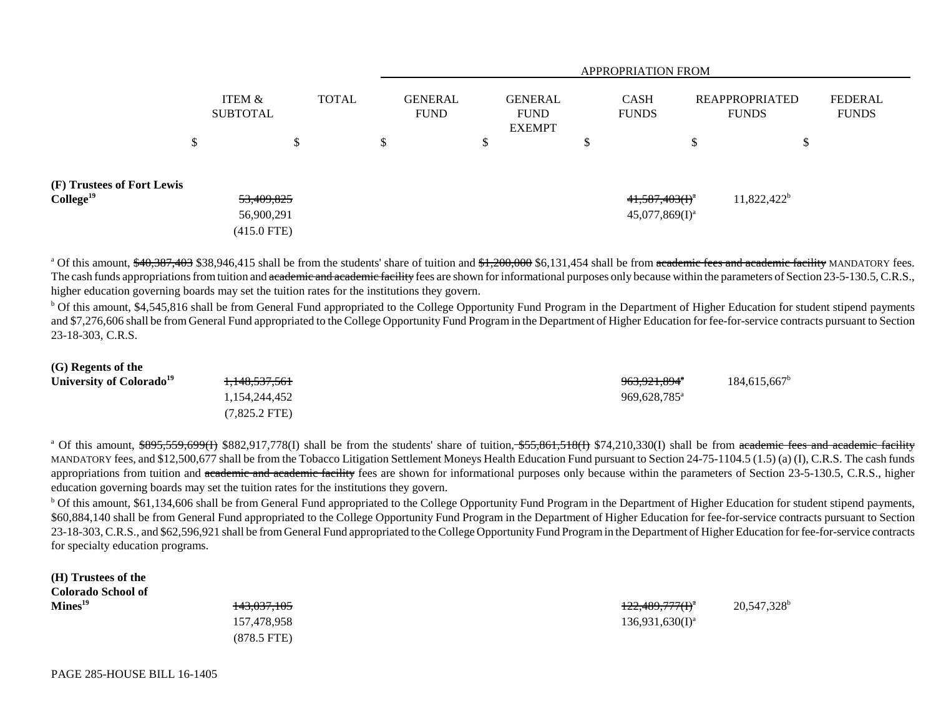|                                                     |                                           |    |              | <b>APPROPRIATION FROM</b> |                               |    |                                                |         |                                        |         |                                       |                                |
|-----------------------------------------------------|-------------------------------------------|----|--------------|---------------------------|-------------------------------|----|------------------------------------------------|---------|----------------------------------------|---------|---------------------------------------|--------------------------------|
|                                                     | <b>ITEM &amp;</b><br><b>SUBTOTAL</b>      |    | <b>TOTAL</b> |                           | <b>GENERAL</b><br><b>FUND</b> |    | <b>GENERAL</b><br><b>FUND</b><br><b>EXEMPT</b> |         | <b>CASH</b><br><b>FUNDS</b>            |         | <b>REAPPROPRIATED</b><br><b>FUNDS</b> | <b>FEDERAL</b><br><b>FUNDS</b> |
|                                                     | \$                                        | \$ |              | \$                        |                               | \$ |                                                | ሖ<br>J. |                                        | ₼<br>Ъ. | D                                     |                                |
| (F) Trustees of Fort Lewis<br>College <sup>19</sup> | 53,409,825<br>56,900,291<br>$(415.0$ FTE) |    |              |                           |                               |    |                                                |         | $41,587,403(f)^a$<br>$45,077,869(I)^a$ |         | $11,822,422^b$                        |                                |

<sup>a</sup> Of this amount, \$40,387,403 \$38,946,415 shall be from the students' share of tuition and \$1,200,000 \$6,131,454 shall be from academic fees and academic facility MANDATORY fees. The cash funds appropriations from tuition and academic and academic facility fees are shown for informational purposes only because within the parameters of Section 23-5-130.5, C.R.S., higher education governing boards may set the tuition rates for the institutions they govern.

<sup>b</sup> Of this amount, \$4,545,816 shall be from General Fund appropriated to the College Opportunity Fund Program in the Department of Higher Education for student stipend payments and \$7,276,606 shall be from General Fund appropriated to the College Opportunity Fund Program in the Department of Higher Education for fee-for-service contracts pursuant to Section 23-18-303, C.R.S.

| <del>1,148,537,561</del> | 963, 921, 894 <sup>a</sup> | $184.615.667^b$ |
|--------------------------|----------------------------|-----------------|
| 1,154,244,452            | 969.628.785 <sup>a</sup>   |                 |
| $(7,825.2$ FTE)          |                            |                 |
|                          |                            |                 |

<sup>a</sup> Of this amount, \$895,559,699(H) \$882,917,778(I) shall be from the students' share of tuition, \$55,861,518(H) \$74,210,330(I) shall be from academic fees and academic facility MANDATORY fees, and \$12,500,677 shall be from the Tobacco Litigation Settlement Moneys Health Education Fund pursuant to Section 24-75-1104.5 (1.5) (a) (I), C.R.S. The cash funds appropriations from tuition and academic and academic facility fees are shown for informational purposes only because within the parameters of Section 23-5-130.5, C.R.S., higher education governing boards may set the tuition rates for the institutions they govern.

<sup>b</sup> Of this amount, \$61,134,606 shall be from General Fund appropriated to the College Opportunity Fund Program in the Department of Higher Education for student stipend payments, \$60,884,140 shall be from General Fund appropriated to the College Opportunity Fund Program in the Department of Higher Education for fee-for-service contracts pursuant to Section 23-18-303, C.R.S., and \$62,596,921 shall be from General Fund appropriated to the College Opportunity Fund Program in the Department of Higher Education for fee-for-service contracts for specialty education programs.

**(H) Trustees of the Colorado School of** 

**(G) Regents of the**

(878.5 FTE)

**Mines<sup>19</sup> 122,489,777(I)**<sup>a</sup> 20,547,328b 157,478,958 136,931,630(I)<sup>a</sup>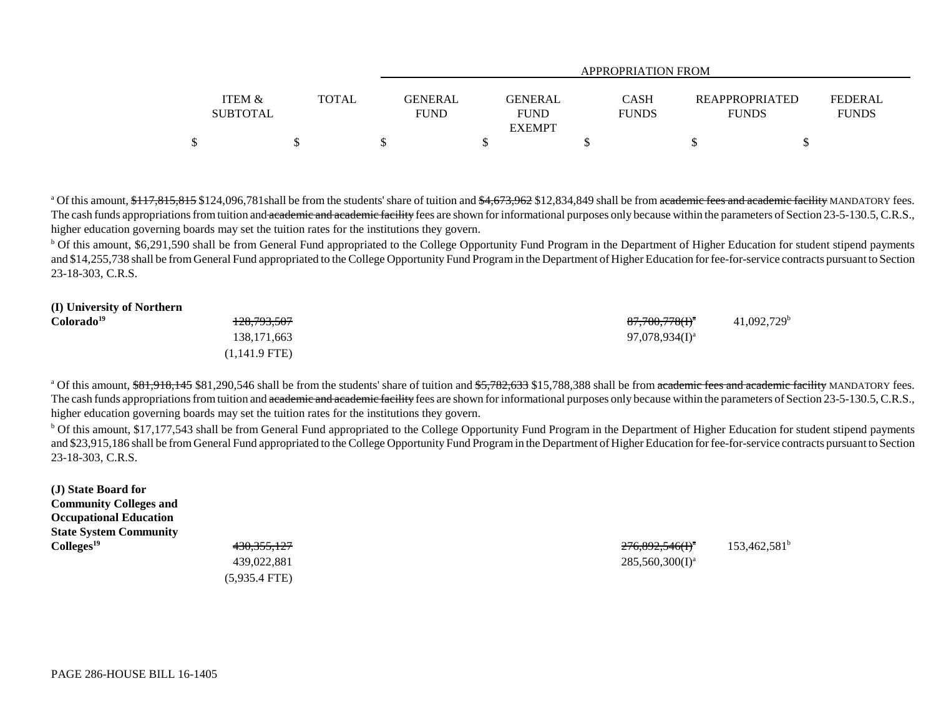|                   |              |             | APPROPRIATION FROM |              |                       |                |  |  |
|-------------------|--------------|-------------|--------------------|--------------|-----------------------|----------------|--|--|
|                   |              |             |                    |              |                       |                |  |  |
| <b>ITEM &amp;</b> | <b>TOTAL</b> |             | GENERAL<br>GENERAL | <b>CASH</b>  | <b>REAPPROPRIATED</b> | <b>FEDERAL</b> |  |  |
| <b>SUBTOTAL</b>   |              | <b>FUND</b> | <b>FUND</b>        | <b>FUNDS</b> | <b>FUNDS</b>          | <b>FUNDS</b>   |  |  |
|                   |              |             | <b>EXEMPT</b>      |              |                       |                |  |  |
| \$                |              |             |                    |              |                       |                |  |  |

<sup>a</sup> Of this amount, \$117,815,815 \$124,096,781shall be from the students' share of tuition and \$4,673,962 \$12,834,849 shall be from academic fees and academic facility MANDATORY fees. The cash funds appropriations from tuition and academic and academic facility fees are shown for informational purposes only because within the parameters of Section 23-5-130.5, C.R.S., higher education governing boards may set the tuition rates for the institutions they govern.

<sup>b</sup> Of this amount, \$6,291,590 shall be from General Fund appropriated to the College Opportunity Fund Program in the Department of Higher Education for student stipend payments and \$14,255,738 shall be from General Fund appropriated to the College Opportunity Fund Program in the Department of Higher Education for fee-for-service contracts pursuant to Section 23-18-303, C.R.S.

| (I) University of Northern |                        |                            |                           |
|----------------------------|------------------------|----------------------------|---------------------------|
| Colorado <sup>19</sup>     | <del>128,793,507</del> | 87,700,778(I) <sup>a</sup> | $41,092,729$ <sup>b</sup> |
|                            | 138, 171, 663          | $97,078,934(I)^a$          |                           |
|                            | (1,141.9 FTE)          |                            |                           |

<sup>a</sup> Of this amount, \$81,918,145 \$81,290,546 shall be from the students' share of tuition and \$5,782,633 \$15,788,388 shall be from academic fees and academic facility MANDATORY fees. The cash funds appropriations from tuition and academic and academic facility fees are shown for informational purposes only because within the parameters of Section 23-5-130.5, C.R.S., higher education governing boards may set the tuition rates for the institutions they govern.

<sup>b</sup> Of this amount, \$17,177,543 shall be from General Fund appropriated to the College Opportunity Fund Program in the Department of Higher Education for student stipend payments and \$23,915,186 shall be from General Fund appropriated to the College Opportunity Fund Program in the Department of Higher Education for fee-for-service contracts pursuant to Section 23-18-303, C.R.S.

**(J) State Board for Community Colleges and Occupational Education State System Community**

(5,935.4 FTE)

**Colleges<sup>19</sup>** 430,355,127 430,355,127 **276,892,546(I)**<sup>a</sup> 153,462,581<sup>b</sup> 439,022,881 285,560,300(I)<sup>a</sup>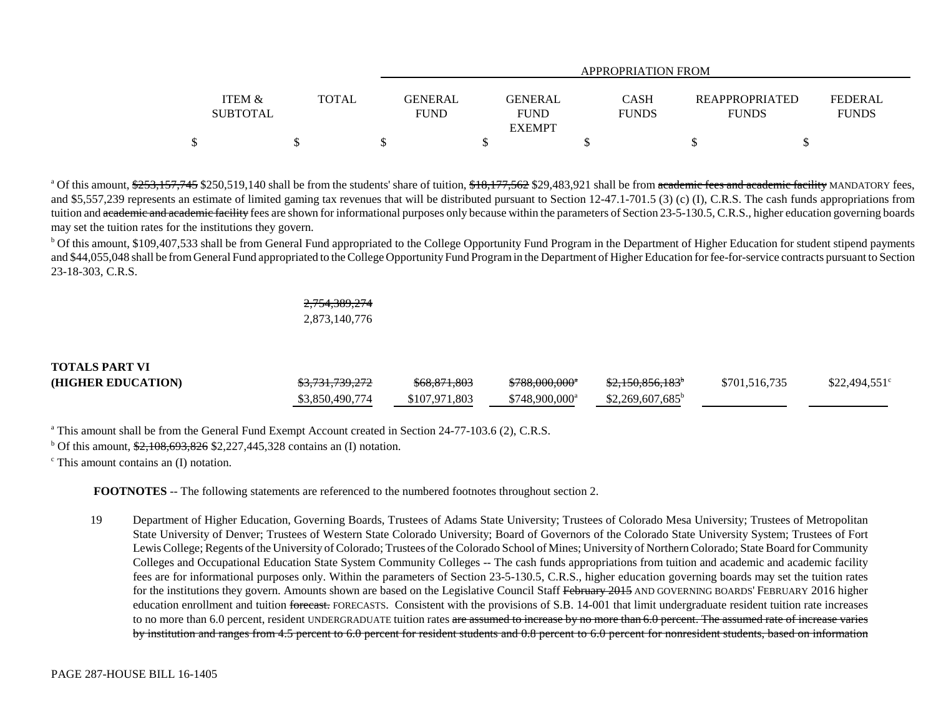|                   |       |             | APPROPRIATION FROM |              |                       |                |  |  |
|-------------------|-------|-------------|--------------------|--------------|-----------------------|----------------|--|--|
|                   |       |             |                    |              |                       |                |  |  |
| <b>ITEM &amp;</b> | TOTAL | GENERAL     | <b>GENERAL</b>     | <b>CASH</b>  | <b>REAPPROPRIATED</b> | <b>FEDERAL</b> |  |  |
| <b>SUBTOTAL</b>   |       | <b>FUND</b> | <b>FUND</b>        | <b>FUNDS</b> | <b>FUNDS</b>          | <b>FUNDS</b>   |  |  |
|                   |       |             | <b>EXEMPT</b>      |              |                       |                |  |  |
|                   |       |             |                    |              |                       |                |  |  |

<sup>a</sup> Of this amount, \$253,157,745 \$250,519,140 shall be from the students' share of tuition, \$18,177,562 \$29,483,921 shall be from academic fees and academic facility MANDATORY fees, and \$5,557,239 represents an estimate of limited gaming tax revenues that will be distributed pursuant to Section 12-47.1-701.5 (3) (c) (I), C.R.S. The cash funds appropriations from tuition and academic and academic facility fees are shown for informational purposes only because within the parameters of Section 23-5-130.5, C.R.S., higher education governing boards may set the tuition rates for the institutions they govern.

<sup>b</sup> Of this amount, \$109,407,533 shall be from General Fund appropriated to the College Opportunity Fund Program in the Department of Higher Education for student stipend payments and \$44,055,048 shall be from General Fund appropriated to the College Opportunity Fund Program in the Department of Higher Education for fee-for-service contracts pursuant to Section 23-18-303, C.R.S.

## 2,754,389,274 2,873,140,776

# **TOTALS PART VI(HIGHER EDUCATION)**  $\frac{$3,731,739,272}{868,871,803}$   $\frac{$788,000,000^*}{100,000^*}$   $\frac{$2,150,856,183^*}{100,000^*}$  \$701,516,735 \$22,494,551<sup>c</sup> \$3,850,490,774 \$107,971,803 \$748,900,000<sup>a</sup> \$2,269,607,685<sup>b</sup>

<sup>a</sup> This amount shall be from the General Fund Exempt Account created in Section 24-77-103.6 (2), C.R.S.

<sup>b</sup> Of this amount,  $\frac{$2,108,693,826}{$2,227,445,328}$  contains an (I) notation.

 $\textdegree$  This amount contains an (I) notation.

**FOOTNOTES** -- The following statements are referenced to the numbered footnotes throughout section 2.

19 Department of Higher Education, Governing Boards, Trustees of Adams State University; Trustees of Colorado Mesa University; Trustees of Metropolitan State University of Denver; Trustees of Western State Colorado University; Board of Governors of the Colorado State University System; Trustees of Fort Lewis College; Regents of the University of Colorado; Trustees of the Colorado School of Mines; University of Northern Colorado; State Board for Community Colleges and Occupational Education State System Community Colleges -- The cash funds appropriations from tuition and academic and academic facility fees are for informational purposes only. Within the parameters of Section 23-5-130.5, C.R.S., higher education governing boards may set the tuition rates for the institutions they govern. Amounts shown are based on the Legislative Council Staff February 2015 AND GOVERNING BOARDS' FEBRUARY 2016 higher education enrollment and tuition <del>forecast.</del> FORECASTS. Consistent with the provisions of S.B. 14-001 that limit undergraduate resident tuition rate increases to no more than 6.0 percent, resident UNDERGRADUATE tuition rates are assumed to increase by no more than 6.0 percent. The assumed rate of increase varies by institution and ranges from 4.5 percent to 6.0 percent for resident students and 0.8 percent to 6.0 percent for nonresident students, based on information